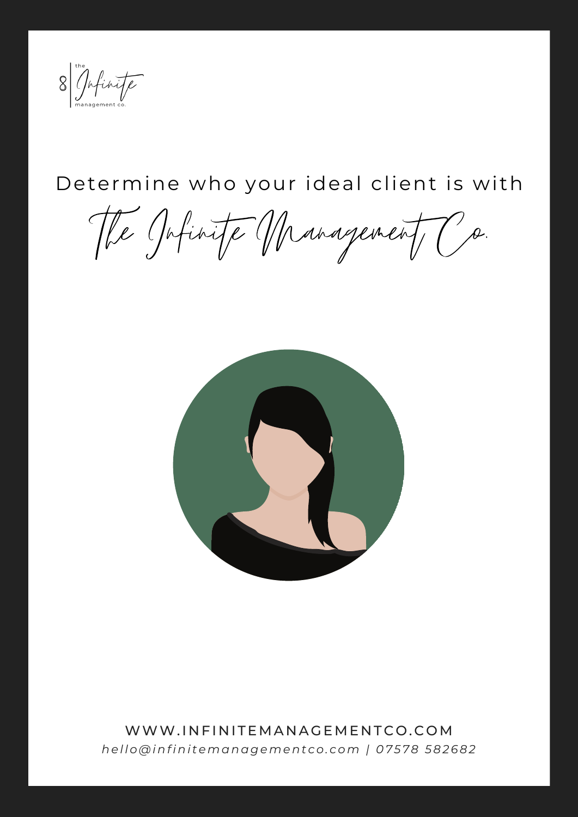

# Determine who your ideal client is with

The Jofinite Management Co.



WWW.INFINITEMANAGEMENTCO.COM hello@infinitemanagementco.com | 07578 582682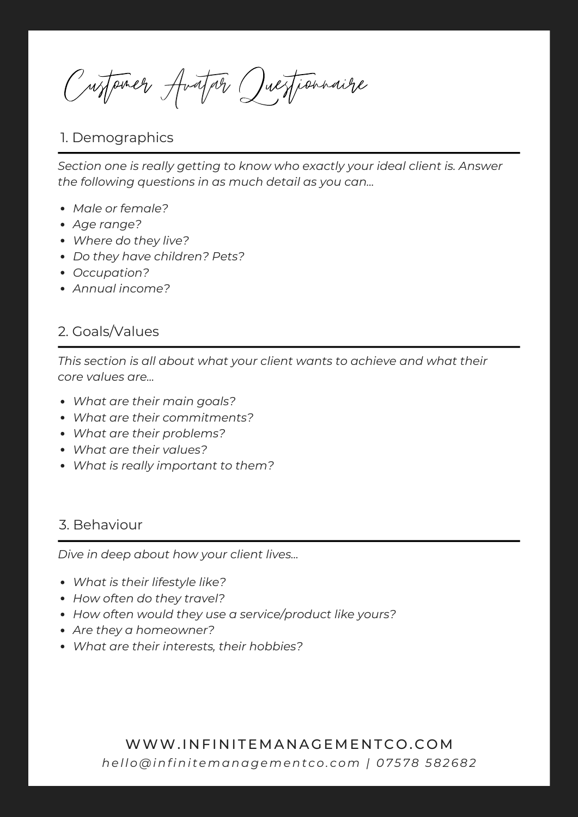Customer Avatar Questionnaire

### 1. Demographics

*Section one is really getting to know who exactly your ideal client is. Answer the following questions in as much detail as you can...*

- *Male or female?*
- *Age range?*
- *Where do they live?*
- *Do they have children? Pets?*
- *Occupation?*
- *Annual income?*

#### 2. Goals/Values

*This section is all about what your client wants to achieve and what their core values are...*

- *What are their main goals?*
- *What are their commitments?*
- *What are their problems?*
- *What are their values?*
- *What is really important to them?*

#### 3. Behaviour

*Dive in deep about how your client lives...*

- *What is their lifestyle like?*
- *How often do they travel?*
- *How often would they use a service/product like yours?*
- *Are they a homeowner?*
- *What are their interests, their hobbies?*

WWW.INFINITEMANAGEMENTCO.COM *hel lo@infini temanagement co. com | 07 5 78 582682*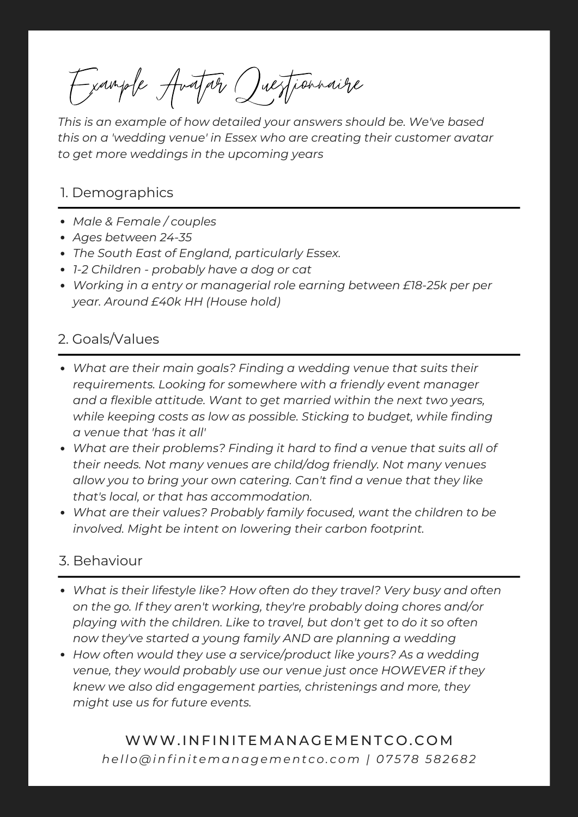Example Avatar Questionnaire

*This is an example of how detailed your answers should be. We've based this on a 'wedding venue' in Essex who are creating their customer avatar to get more weddings in the upcoming years*

#### 1. Demographics

- *Male & Female / couples*
- *Ages between 24-35*
- *The South East of England, particularly Essex.*
- *1-2 Children - probably have a dog or cat*
- *Working in a entry or managerial role earning between £18-25k per per year. Around £40k HH (House hold)*

## 2. Goals/Values

- *What are their main goals? Finding a wedding venue that suits their requirements. Looking for somewhere with a friendly event manager and a flexible attitude. Want to get married within the next two years, while keeping costs as low as possible. Sticking to budget, while finding a venue that 'has it all'*
- *What are their problems? Finding it hard to find a venue that suits all of their needs. Not many venues are child/dog friendly. Not many venues allow you to bring your own catering. Can't find a venue that they like that's local, or that has accommodation.*
- *What are their values? Probably family focused, want the children to be involved. Might be intent on lowering their carbon footprint.*

#### 3. Behaviour

- *What is their lifestyle like? How often do they travel? Very busy and often on the go. If they aren't working, they're probably doing chores and/or playing with the children. Like to travel, but don't get to do it so often now they've started a young family AND are planning a wedding*
- *How often would they use a service/product like yours? As a wedding venue, they would probably use our venue just once HOWEVER if they knew we also did engagement parties, christenings and more, they might use us for future events.*

# WWW.INFINITEMANAGEMENTCO.COM *hel lo@infini temanagement co. com | 07 5 78 582682*